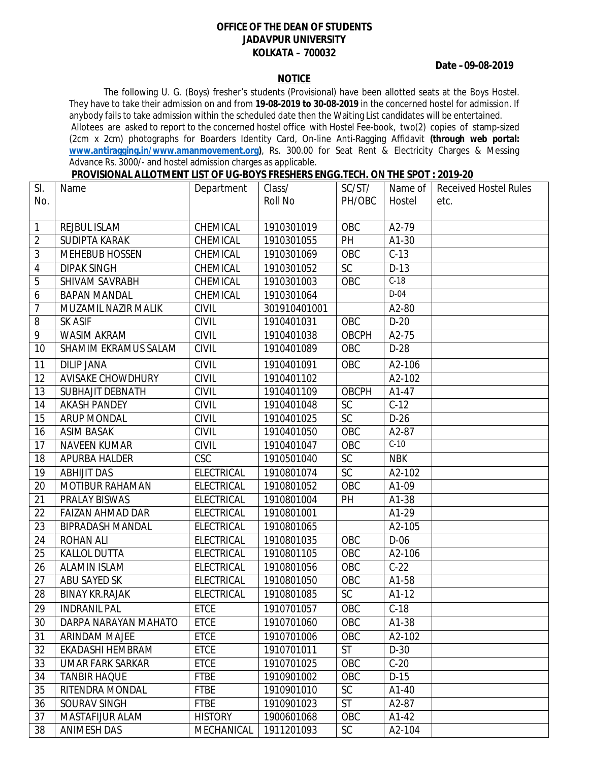## **OFFICE OF THE DEAN OF STUDENTS JADAVPUR UNIVERSITY KOLKATA – 700032**

## **Date –09-08-2019**

## **NOTICE**

The following U. G. (Boys) fresher's students (Provisional) have been allotted seats at the Boys Hostel. They have to take their admission on and from **19-08-2019 to 30-08-2019** in the concerned hostel for admission. If anybody fails to take admission within the scheduled date then the Waiting List candidates will be entertained. Allotees are asked to report to the concerned hostel office with Hostel Fee-book, two(2) copies of stamp-sized (2cm x 2cm) photographs for Boarders Identity Card, On-line Anti-Ragging Affidavit **(through web portal: www.antiragging.in/www.amanmovement.org)**, Rs. 300.00 for Seat Rent & Electricity Charges & Messing Advance Rs. 3000/- and hostel admission charges as applicable.

|--|

| SI.             | Name                    | Department        | Class/       | SC/ST/          | Name of    | <b>Received Hostel Rules</b> |
|-----------------|-------------------------|-------------------|--------------|-----------------|------------|------------------------------|
| No.             |                         |                   | Roll No      | PH/OBC          | Hostel     | etc.                         |
|                 |                         |                   |              |                 |            |                              |
| $\mathbf{1}$    | REJBUL ISLAM            | CHEMICAL          | 1910301019   | OBC             | A2-79      |                              |
| $\overline{2}$  | <b>SUDIPTA KARAK</b>    | CHEMICAL          | 1910301055   | PH              | A1-30      |                              |
| 3               | <b>MEHEBUB HOSSEN</b>   | CHEMICAL          | 1910301069   | OBC             | $C-13$     |                              |
| $\overline{4}$  | <b>DIPAK SINGH</b>      | CHEMICAL          | 1910301052   | SC              | $D-13$     |                              |
| 5               | SHIVAM SAVRABH          | CHEMICAL          | 1910301003   | OBC             | $C-18$     |                              |
| 6               | <b>BAPAN MANDAL</b>     | CHEMICAL          | 1910301064   |                 | $D-04$     |                              |
| 7               | MUZAMIL NAZIR MALIK     | <b>CIVIL</b>      | 301910401001 |                 | A2-80      |                              |
| 8               | <b>SK ASIF</b>          | <b>CIVIL</b>      | 1910401031   | OBC             | $D-20$     |                              |
| 9               | <b>WASIM AKRAM</b>      | <b>CIVIL</b>      | 1910401038   | <b>OBCPH</b>    | A2-75      |                              |
| 10              | SHAMIM EKRAMUS SALAM    | <b>CIVIL</b>      | 1910401089   | OBC             | $D-28$     |                              |
| 11              | <b>DILIP JANA</b>       | <b>CIVIL</b>      | 1910401091   | OBC             | A2-106     |                              |
| 12              | AVISAKE CHOWDHURY       | <b>CIVIL</b>      | 1910401102   |                 | A2-102     |                              |
| 13              | <b>SUBHAJIT DEBNATH</b> | <b>CIVIL</b>      | 1910401109   | <b>OBCPH</b>    | A1-47      |                              |
| 14              | <b>AKASH PANDEY</b>     | <b>CIVIL</b>      | 1910401048   | $\overline{SC}$ | $C-12$     |                              |
| 15              | <b>ARUP MONDAL</b>      | <b>CIVIL</b>      | 1910401025   | <b>SC</b>       | $D-26$     |                              |
| 16              | <b>ASIM BASAK</b>       | <b>CIVIL</b>      | 1910401050   | OBC             | A2-87      |                              |
| 17              | <b>NAVEEN KUMAR</b>     | <b>CIVIL</b>      | 1910401047   | OBC             | $C-10$     |                              |
| 18              | APURBA HALDER           | <b>CSC</b>        | 1910501040   | SC              | <b>NBK</b> |                              |
| 19              | <b>ABHIJIT DAS</b>      | <b>ELECTRICAL</b> | 1910801074   | $\overline{SC}$ | A2-102     |                              |
| 20              | <b>MOTIBUR RAHAMAN</b>  | <b>ELECTRICAL</b> | 1910801052   | OBC             | A1-09      |                              |
| 21              | PRALAY BISWAS           | <b>ELECTRICAL</b> | 1910801004   | <b>PH</b>       | A1-38      |                              |
| 22              | <b>FAIZAN AHMAD DAR</b> | <b>ELECTRICAL</b> | 1910801001   |                 | A1-29      |                              |
| $\overline{23}$ | <b>BIPRADASH MANDAL</b> | <b>ELECTRICAL</b> | 1910801065   |                 | A2-105     |                              |
| 24              | <b>ROHAN ALI</b>        | <b>ELECTRICAL</b> | 1910801035   | OBC             | $D-06$     |                              |
| 25              | <b>KALLOL DUTTA</b>     | <b>ELECTRICAL</b> | 1910801105   | OBC             | A2-106     |                              |
| 26              | <b>ALAMIN ISLAM</b>     | <b>ELECTRICAL</b> | 1910801056   | OBC             | $C-22$     |                              |
| 27              | ABU SAYED SK            | <b>ELECTRICAL</b> | 1910801050   | OBC             | A1-58      |                              |
| 28              | <b>BINAY KR.RAJAK</b>   | <b>ELECTRICAL</b> | 1910801085   | SC              | $A1-12$    |                              |
| 29              | <b>INDRANIL PAL</b>     | ETCE              | 1910701057   | OBC             | $C-18$     |                              |
| 30              | DARPA NARAYAN MAHATO    | <b>ETCE</b>       | 1910701060   | OBC             | A1-38      |                              |
| 31              | ARINDAM MAJEE           | <b>ETCE</b>       | 1910701006   | OBC             | A2-102     |                              |
| 32              | EKADASHI HEMBRAM        | <b>ETCE</b>       | 1910701011   | <b>ST</b>       | $D-30$     |                              |
| 33              | <b>UMAR FARK SARKAR</b> | <b>ETCE</b>       | 1910701025   | OBC             | $C-20$     |                              |
| 34              | <b>TANBIR HAQUE</b>     | <b>FTBE</b>       | 1910901002   | OBC             | $D-15$     |                              |
| 35              | RITENDRA MONDAL         | <b>FTBE</b>       | 1910901010   | SC              | A1-40      |                              |
| 36              | SOURAV SINGH            | <b>FTBE</b>       | 1910901023   | <b>ST</b>       | A2-87      |                              |
| 37              | MASTAFIJUR ALAM         | <b>HISTORY</b>    | 1900601068   | OBC             | A1-42      |                              |
| 38              | <b>ANIMESH DAS</b>      | MECHANICAL        | 1911201093   | <b>SC</b>       | A2-104     |                              |